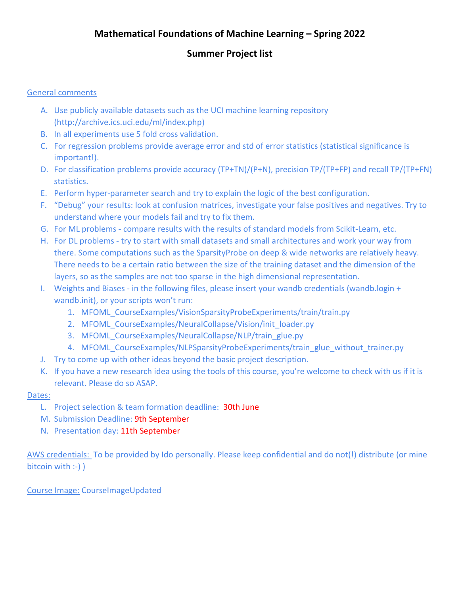## **Mathematical Foundations of Machine Learning – Spring 2022**

## **Summer Project list**

#### General comments

- A. Use publicly available datasets such as the UCI machine learning repository [\(http://archive.ics.uci.edu/ml/index.php\)](http://archive.ics.uci.edu/ml/index.php)
- B. In all experiments use 5 fold cross validation.
- C. For regression problems provide average error and std of error statistics (statistical significance is important!).
- D. For classification problems provide accuracy (TP+TN)/(P+N), precision TP/(TP+FP) and recall TP/(TP+FN) statistics.
- E. Perform hyper-parameter search and try to explain the logic of the best configuration.
- F. "Debug" your results: look at confusion matrices, investigate your false positives and negatives. Try to understand where your models fail and try to fix them.
- G. For ML problems compare results with the results of standard models from Scikit-Learn, etc.
- H. For DL problems try to start with small datasets and small architectures and work your way from there. Some computations such as the SparsityProbe on deep & wide networks are relatively heavy. There needs to be a certain ratio between the size of the training dataset and the dimension of the layers, so as the samples are not too sparse in the high dimensional representation.
- I. Weights and Biases in the following files, please insert your wandb credentials (wandb.login + wandb.init), or your scripts won't run:
	- 1. MFOML\_CourseExamples/VisionSparsityProbeExperiments/train/train.py
	- 2. MFOML CourseExamples/NeuralCollapse/Vision/init\_loader.py
	- 3. MFOML CourseExamples/NeuralCollapse/NLP/train\_glue.py
	- 4. MFOML CourseExamples/NLPSparsityProbeExperiments/train\_glue\_without\_trainer.py
- J. Try to come up with other ideas beyond the basic project description.
- K. If you have a new research idea using the tools of this course, you're welcome to check with us if it is relevant. Please do so ASAP.

#### Dates:

- L. Project selection & team formation deadline: 30th June
- M. Submission Deadline: 9th September
- N. Presentation day: 11th September

AWS credentials: To be provided by Ido personally. Please keep confidential and do not(!) distribute (or mine bitcoin with :-) )

Course Image: CourseImageUpdated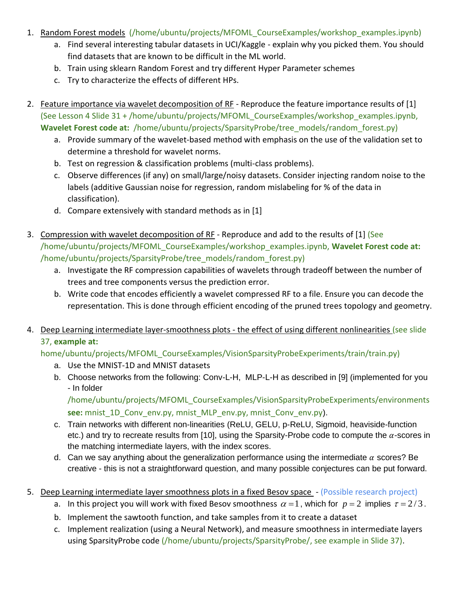- 1. Random Forest models (/home/ubuntu/projects/MFOML CourseExamples/workshop examples.ipynb)
	- a. Find several interesting tabular datasets in UCI/Kaggle explain why you picked them. You should find datasets that are known to be difficult in the ML world.
	- b. Train using sklearn Random Forest and try different Hyper Parameter schemes
	- c. Try to characterize the effects of different HPs.
- 2. Feature importance via wavelet decomposition of RF Reproduce the feature importance results of [1] (See Lesson 4 Slide 31 + /home/ubuntu/projects/MFOML\_CourseExamples/workshop\_examples.ipynb, Wavelet Forest code at: /home/ubuntu/projects/SparsityProbe/tree\_models/random\_forest.py)
	- a. Provide summary of the wavelet-based method with emphasis on the use of the validation set to determine a threshold for wavelet norms.
	- b. Test on regression & classification problems (multi-class problems).
	- c. Observe differences (if any) on small/large/noisy datasets. Consider injecting random noise to the labels (additive Gaussian noise for regression, random mislabeling for % of the data in classification).
	- d. Compare extensively with standard methods as in [1]
- 3. Compression with wavelet decomposition of RF Reproduce and add to the results of [1] (See /home/ubuntu/projects/MFOML\_CourseExamples/workshop\_examples.ipynb, **Wavelet Forest code at:** /home/ubuntu/projects/SparsityProbe/tree\_models/random\_forest.py)
	- a. Investigate the RF compression capabilities of wavelets through tradeoff between the number of trees and tree components versus the prediction error.
	- b. Write code that encodes efficiently a wavelet compressed RF to a file. Ensure you can decode the representation. This is done through efficient encoding of the pruned trees topology and geometry.
- 4. Deep Learning intermediate layer-smoothness plots the effect of using different nonlinearities (see slide 37, **example at:**

home/ubuntu/projects/MFOML\_CourseExamples/VisionSparsityProbeExperiments/train/train.py)

- a. Use the MNIST-1D and MNIST datasets
- b. Choose networks from the following: Conv-L-H, MLP-L-H as described in [9] (implemented for you - In folder

/home/ubuntu/projects/MFOML\_CourseExamples/VisionSparsityProbeExperiments/environments **see:** mnist\_1D\_Conv\_env.py, mnist\_MLP\_env.py, mnist\_Conv\_env.py).

- c. Train networks with different non-linearities (ReLU, GELU, p-ReLU, Sigmoid, heaviside-function etc.) and try to recreate results from [10], using the Sparsity-Probe code to compute the  $\alpha$ -scores in the matching intermediate layers, with the index scores.
- d. Can we say anything about the generalization performance using the intermediate  $\alpha$  scores? Be creative - this is not a straightforward question, and many possible conjectures can be put forward.
- 5. Deep Learning intermediate layer smoothness plots in a fixed Besov space (Possible research project)
	- a. In this project you will work with fixed Besov smoothness  $\alpha = 1$  , which for  $p = 2$  implies  $\tau = 2/3$ .
	- b. Implement the sawtooth function, and take samples from it to create a dataset
	- c. Implement realization (using a Neural Network), and measure smoothness in intermediate layers using SparsityProbe code (/home/ubuntu/projects/SparsityProbe/, see example in Slide 37).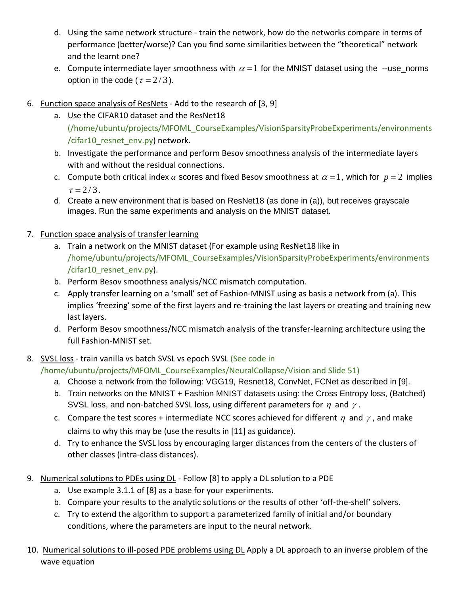- d. Using the same network structure train the network, how do the networks compare in terms of performance (better/worse)? Can you find some similarities between the "theoretical" network and the learnt one?
- e. Compute intermediate layer smoothness with  $\alpha$  = 1 for the MNIST dataset using the --use\_norms option in the code ( $\tau = 2/3$ ).
- 6. Function space analysis of ResNets Add to the research of [3, 9]
	- a. Use the CIFAR10 dataset and the ResNet18 (/home/ubuntu/projects/MFOML\_CourseExamples/VisionSparsityProbeExperiments/environments /cifar10 resnet env.py) network.
	- b. Investigate the performance and perform Besov smoothness analysis of the intermediate layers with and without the residual connections.
	- c. Compute both critical index  $\alpha$  scores and fixed Besov smoothness at  $\alpha = 1$ , which for  $p = 2$  implies  $\tau = 2 / 3$ .
	- d. Create a new environment that is based on ResNet18 (as done in (a)), but receives grayscale images. Run the same experiments and analysis on the MNIST dataset.
- 7. Function space analysis of transfer learning
	- a. Train a network on the MNIST dataset (For example using ResNet18 like in /home/ubuntu/projects/MFOML\_CourseExamples/VisionSparsityProbeExperiments/environments /cifar10\_resnet\_env.py).
	- b. Perform Besov smoothness analysis/NCC mismatch computation.
	- c. Apply transfer learning on a 'small' set of Fashion-MNIST using as basis a network from (a). This implies 'freezing' some of the first layers and re-training the last layers or creating and training new last layers.
	- d. Perform Besov smoothness/NCC mismatch analysis of the transfer-learning architecture using the full Fashion-MNIST set.
- 8. SVSL loss train vanilla vs batch SVSL vs epoch SVSL (See code in
	- /home/ubuntu/projects/MFOML\_CourseExamples/NeuralCollapse/Vision and Slide 51)
		- a. Choose a network from the following: VGG19, Resnet18, ConvNet, FCNet as described in [9].
		- b. Train networks on the MNIST + Fashion MNIST datasets using: the Cross Entropy loss, (Batched) SVSL loss, and non-batched SVSL loss, using different parameters for  $\eta$  and  $\gamma$ .
		- c. Compare the test scores + intermediate NCC scores achieved for different  $\eta$  and  $\gamma$  , and make claims to why this may be (use the results in [11] as guidance).
		- d. Try to enhance the SVSL loss by encouraging larger distances from the centers of the clusters of other classes (intra-class distances).
- 9. Numerical solutions to PDEs using DL Follow [8] to apply a DL solution to a PDE
	- a. Use example 3.1.1 of [8] as a base for your experiments.
	- b. Compare your results to the analytic solutions or the results of other 'off-the-shelf' solvers.
	- c. Try to extend the algorithm to support a parameterized family of initial and/or boundary conditions, where the parameters are input to the neural network.
- 10. Numerical solutions to ill-posed PDE problems using DL Apply a DL approach to an inverse problem of the wave equation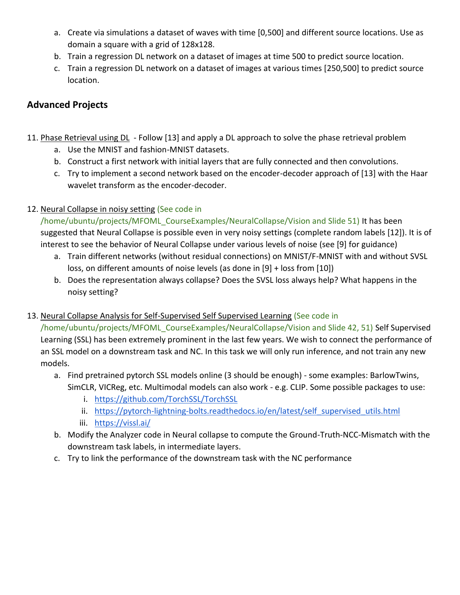- a. Create via simulations a dataset of waves with time [0,500] and different source locations. Use as domain a square with a grid of 128x128.
- b. Train a regression DL network on a dataset of images at time 500 to predict source location.
- c. Train a regression DL network on a dataset of images at various times [250,500] to predict source location.

# **Advanced Projects**

- 11. Phase Retrieval using DL Follow [13] and apply a DL approach to solve the phase retrieval problem
	- a. Use the MNIST and fashion-MNIST datasets.
	- b. Construct a first network with initial layers that are fully connected and then convolutions.
	- c. Try to implement a second network based on the encoder-decoder approach of [13] with the Haar wavelet transform as the encoder-decoder.

## 12. Neural Collapse in noisy setting (See code in

/home/ubuntu/projects/MFOML\_CourseExamples/NeuralCollapse/Vision and Slide 51) It has been suggested that Neural Collapse is possible even in very noisy settings (complete random labels [12]). It is of interest to see the behavior of Neural Collapse under various levels of noise (see [9] for guidance)

- a. Train different networks (without residual connections) on MNIST/F-MNIST with and without SVSL loss, on different amounts of noise levels (as done in [9] + loss from [10])
- b. Does the representation always collapse? Does the SVSL loss always help? What happens in the noisy setting?
- 13. Neural Collapse Analysis for Self-Supervised Self Supervised Learning (See code in

/home/ubuntu/projects/MFOML\_CourseExamples/NeuralCollapse/Vision and Slide 42, 51) Self Supervised Learning (SSL) has been extremely prominent in the last few years. We wish to connect the performance of an SSL model on a downstream task and NC. In this task we will only run inference, and not train any new models.

- a. Find pretrained pytorch SSL models online (3 should be enough) some examples: BarlowTwins, SimCLR, VICReg, etc. Multimodal models can also work - e.g. CLIP. Some possible packages to use:
	- i. <https://github.com/TorchSSL/TorchSSL>
	- ii. https://pytorch-lightning-bolts.readthedocs.io/en/latest/self supervised utils.html
	- iii. <https://vissl.ai/>
- b. Modify the Analyzer code in Neural collapse to compute the Ground-Truth-NCC-Mismatch with the downstream task labels, in intermediate layers.
- c. Try to link the performance of the downstream task with the NC performance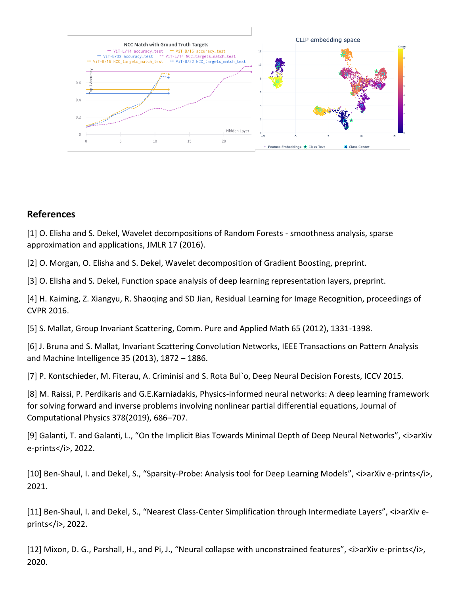

### **References**

[1] O. Elisha and S. Dekel, Wavelet decompositions of Random Forests - smoothness analysis, sparse approximation and applications, JMLR 17 (2016).

[2] O. Morgan, O. Elisha and S. Dekel, Wavelet decomposition of Gradient Boosting, preprint.

[3] O. Elisha and S. Dekel, Function space analysis of deep learning representation layers, preprint.

[4] H. Kaiming, Z. Xiangyu, R. Shaoqing and SD Jian, Residual Learning for Image Recognition, proceedings of CVPR 2016.

[5] S. Mallat, Group Invariant Scattering, Comm. Pure and Applied Math 65 (2012), 1331-1398.

[6] J. Bruna and S. Mallat, Invariant Scattering Convolution Networks, IEEE Transactions on Pattern Analysis and Machine Intelligence 35 (2013), 1872 – 1886.

[7] P. Kontschieder, M. Fiterau, A. Criminisi and S. Rota Bul`o, Deep Neural Decision Forests, ICCV 2015.

[8] M. Raissi, P. Perdikaris and G.E.Karniadakis, Physics-informed neural networks: A deep learning framework for solving forward and inverse problems involving nonlinear partial differential equations, Journal of Computational Physics 378(2019), 686–707.

[9] Galanti, T. and Galanti, L., "On the Implicit Bias Towards Minimal Depth of Deep Neural Networks", <i>arXiv e-prints</i>, 2022.

[10] Ben-Shaul, I. and Dekel, S., "Sparsity-Probe: Analysis tool for Deep Learning Models", <i>arXiv e-prints</i>, 2021.

[11] Ben-Shaul, I. and Dekel, S., "Nearest Class-Center Simplification through Intermediate Layers", <i>arXiv eprints</i>, 2022.

[12] Mixon, D. G., Parshall, H., and Pi, J., "Neural collapse with unconstrained features", <i>arXiv e-prints</i>, 2020.